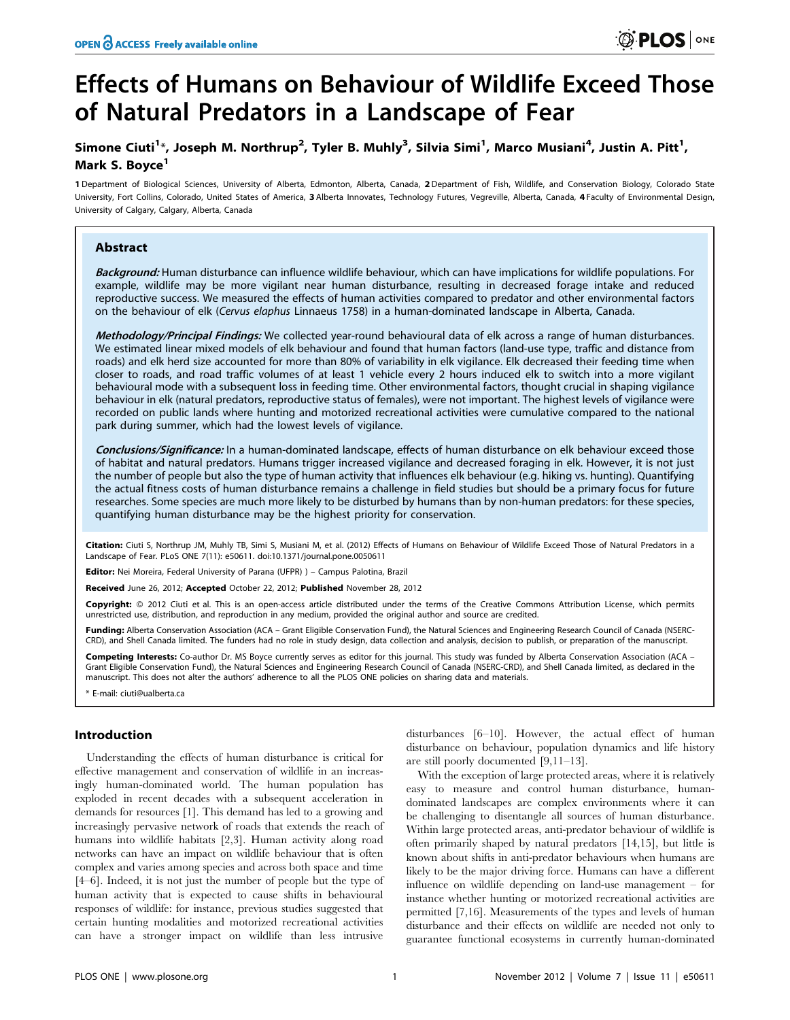# Effects of Humans on Behaviour of Wildlife Exceed Those of Natural Predators in a Landscape of Fear

# Simone Ciuti<sup>1</sup>\*, Joseph M. Northrup<sup>2</sup>, Tyler B. Muhly<sup>3</sup>, Silvia Simi<sup>1</sup>, Marco Musiani<sup>4</sup>, Justin A. Pitt<sup>1</sup>, Mark S. Boyce<sup>1</sup>

1 Department of Biological Sciences, University of Alberta, Edmonton, Alberta, Canada, 2Department of Fish, Wildlife, and Conservation Biology, Colorado State University, Fort Collins, Colorado, United States of America, 3 Alberta Innovates, Technology Futures, Vegreville, Alberta, Canada, 4 Faculty of Environmental Design, University of Calgary, Calgary, Alberta, Canada

# Abstract

Background: Human disturbance can influence wildlife behaviour, which can have implications for wildlife populations. For example, wildlife may be more vigilant near human disturbance, resulting in decreased forage intake and reduced reproductive success. We measured the effects of human activities compared to predator and other environmental factors on the behaviour of elk (Cervus elaphus Linnaeus 1758) in a human-dominated landscape in Alberta, Canada.

Methodology/Principal Findings: We collected year-round behavioural data of elk across a range of human disturbances. We estimated linear mixed models of elk behaviour and found that human factors (land-use type, traffic and distance from roads) and elk herd size accounted for more than 80% of variability in elk vigilance. Elk decreased their feeding time when closer to roads, and road traffic volumes of at least 1 vehicle every 2 hours induced elk to switch into a more vigilant behavioural mode with a subsequent loss in feeding time. Other environmental factors, thought crucial in shaping vigilance behaviour in elk (natural predators, reproductive status of females), were not important. The highest levels of vigilance were recorded on public lands where hunting and motorized recreational activities were cumulative compared to the national park during summer, which had the lowest levels of vigilance.

Conclusions/Significance: In a human-dominated landscape, effects of human disturbance on elk behaviour exceed those of habitat and natural predators. Humans trigger increased vigilance and decreased foraging in elk. However, it is not just the number of people but also the type of human activity that influences elk behaviour (e.g. hiking vs. hunting). Quantifying the actual fitness costs of human disturbance remains a challenge in field studies but should be a primary focus for future researches. Some species are much more likely to be disturbed by humans than by non-human predators: for these species, quantifying human disturbance may be the highest priority for conservation.

Citation: Ciuti S, Northrup JM, Muhly TB, Simi S, Musiani M, et al. (2012) Effects of Humans on Behaviour of Wildlife Exceed Those of Natural Predators in a Landscape of Fear. PLoS ONE 7(11): e50611. doi:10.1371/journal.pone.0050611

Editor: Nei Moreira, Federal University of Parana (UFPR) ) – Campus Palotina, Brazil

Received June 26, 2012; Accepted October 22, 2012; Published November 28, 2012

Copyright: © 2012 Ciuti et al. This is an open-access article distributed under the terms of the Creative Commons Attribution License, which permits unrestricted use, distribution, and reproduction in any medium, provided the original author and source are credited.

Funding: Alberta Conservation Association (ACA – Grant Eligible Conservation Fund), the Natural Sciences and Engineering Research Council of Canada (NSERC-CRD), and Shell Canada limited. The funders had no role in study design, data collection and analysis, decision to publish, or preparation of the manuscript.

Competing Interests: Co-author Dr. MS Boyce currently serves as editor for this journal. This study was funded by Alberta Conservation Association (ACA – Grant Eligible Conservation Fund), the Natural Sciences and Engineering Research Council of Canada (NSERC-CRD), and Shell Canada limited, as declared in the manuscript. This does not alter the authors' adherence to all the PLOS ONE policies on sharing data and materials.

E-mail: ciuti@ualberta.ca

## Introduction

Understanding the effects of human disturbance is critical for effective management and conservation of wildlife in an increasingly human-dominated world. The human population has exploded in recent decades with a subsequent acceleration in demands for resources [1]. This demand has led to a growing and increasingly pervasive network of roads that extends the reach of humans into wildlife habitats [2,3]. Human activity along road networks can have an impact on wildlife behaviour that is often complex and varies among species and across both space and time [4–6]. Indeed, it is not just the number of people but the type of human activity that is expected to cause shifts in behavioural responses of wildlife: for instance, previous studies suggested that certain hunting modalities and motorized recreational activities can have a stronger impact on wildlife than less intrusive

disturbances [6–10]. However, the actual effect of human disturbance on behaviour, population dynamics and life history are still poorly documented [9,11–13].

With the exception of large protected areas, where it is relatively easy to measure and control human disturbance, humandominated landscapes are complex environments where it can be challenging to disentangle all sources of human disturbance. Within large protected areas, anti-predator behaviour of wildlife is often primarily shaped by natural predators [14,15], but little is known about shifts in anti-predator behaviours when humans are likely to be the major driving force. Humans can have a different influence on wildlife depending on land-use management – for instance whether hunting or motorized recreational activities are permitted [7,16]. Measurements of the types and levels of human disturbance and their effects on wildlife are needed not only to guarantee functional ecosystems in currently human-dominated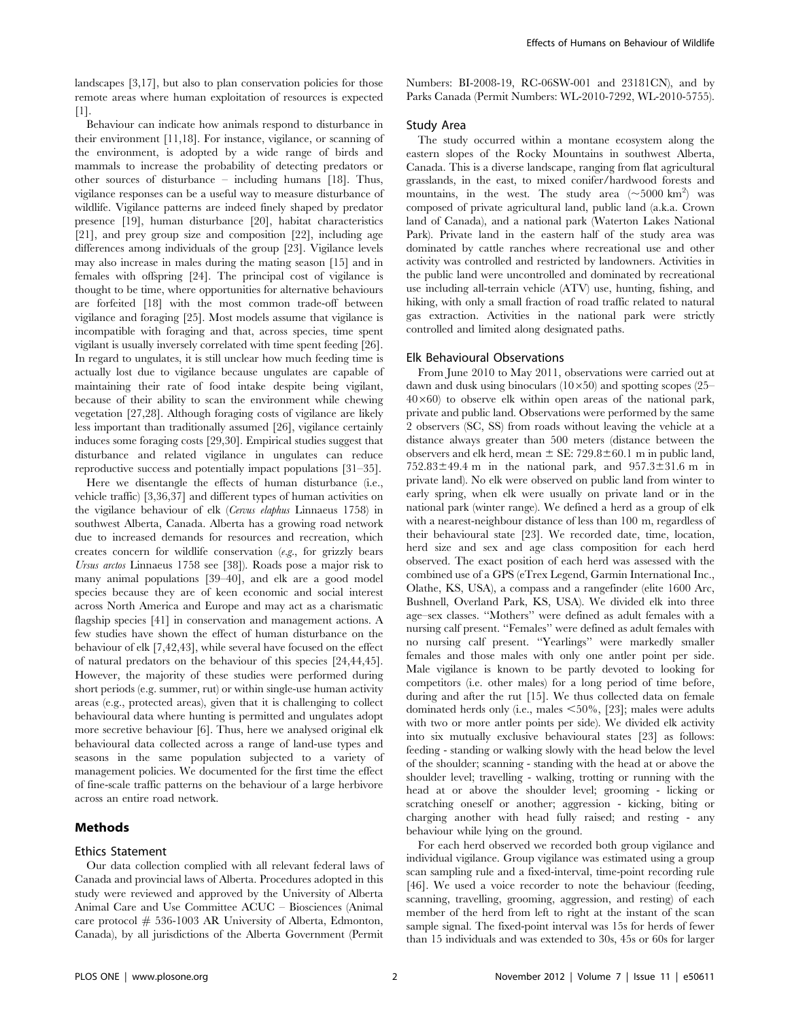landscapes [3,17], but also to plan conservation policies for those remote areas where human exploitation of resources is expected [1].

Behaviour can indicate how animals respond to disturbance in their environment [11,18]. For instance, vigilance, or scanning of the environment, is adopted by a wide range of birds and mammals to increase the probability of detecting predators or other sources of disturbance – including humans [18]. Thus, vigilance responses can be a useful way to measure disturbance of wildlife. Vigilance patterns are indeed finely shaped by predator presence [19], human disturbance [20], habitat characteristics [21], and prey group size and composition [22], including age differences among individuals of the group [23]. Vigilance levels may also increase in males during the mating season [15] and in females with offspring [24]. The principal cost of vigilance is thought to be time, where opportunities for alternative behaviours are forfeited [18] with the most common trade-off between vigilance and foraging [25]. Most models assume that vigilance is incompatible with foraging and that, across species, time spent vigilant is usually inversely correlated with time spent feeding [26]. In regard to ungulates, it is still unclear how much feeding time is actually lost due to vigilance because ungulates are capable of maintaining their rate of food intake despite being vigilant, because of their ability to scan the environment while chewing vegetation [27,28]. Although foraging costs of vigilance are likely less important than traditionally assumed [26], vigilance certainly induces some foraging costs [29,30]. Empirical studies suggest that disturbance and related vigilance in ungulates can reduce reproductive success and potentially impact populations [31–35].

Here we disentangle the effects of human disturbance (i.e., vehicle traffic) [3,36,37] and different types of human activities on the vigilance behaviour of elk (Cervus elaphus Linnaeus 1758) in southwest Alberta, Canada. Alberta has a growing road network due to increased demands for resources and recreation, which creates concern for wildlife conservation (e.g., for grizzly bears Ursus arctos Linnaeus 1758 see [38]). Roads pose a major risk to many animal populations [39–40], and elk are a good model species because they are of keen economic and social interest across North America and Europe and may act as a charismatic flagship species [41] in conservation and management actions. A few studies have shown the effect of human disturbance on the behaviour of elk [7,42,43], while several have focused on the effect of natural predators on the behaviour of this species [24,44,45]. However, the majority of these studies were performed during short periods (e.g. summer, rut) or within single-use human activity areas (e.g., protected areas), given that it is challenging to collect behavioural data where hunting is permitted and ungulates adopt more secretive behaviour [6]. Thus, here we analysed original elk behavioural data collected across a range of land-use types and seasons in the same population subjected to a variety of management policies. We documented for the first time the effect of fine-scale traffic patterns on the behaviour of a large herbivore across an entire road network.

# Methods

#### Ethics Statement

Our data collection complied with all relevant federal laws of Canada and provincial laws of Alberta. Procedures adopted in this study were reviewed and approved by the University of Alberta Animal Care and Use Committee ACUC – Biosciences (Animal care protocol  $# 536-1003$  AR University of Alberta, Edmonton, Canada), by all jurisdictions of the Alberta Government (Permit

Numbers: BI-2008-19, RC-06SW-001 and 23181CN), and by Parks Canada (Permit Numbers: WL-2010-7292, WL-2010-5755).

# Study Area

The study occurred within a montane ecosystem along the eastern slopes of the Rocky Mountains in southwest Alberta, Canada. This is a diverse landscape, ranging from flat agricultural grasslands, in the east, to mixed conifer/hardwood forests and mountains, in the west. The study area  $(\sim]5000 \text{ km}^2)$  was composed of private agricultural land, public land (a.k.a. Crown land of Canada), and a national park (Waterton Lakes National Park). Private land in the eastern half of the study area was dominated by cattle ranches where recreational use and other activity was controlled and restricted by landowners. Activities in the public land were uncontrolled and dominated by recreational use including all-terrain vehicle (ATV) use, hunting, fishing, and hiking, with only a small fraction of road traffic related to natural gas extraction. Activities in the national park were strictly controlled and limited along designated paths.

# Elk Behavioural Observations

From June 2010 to May 2011, observations were carried out at dawn and dusk using binoculars  $(10\times50)$  and spotting scopes (25–  $40\times60$ ) to observe elk within open areas of the national park, private and public land. Observations were performed by the same 2 observers (SC, SS) from roads without leaving the vehicle at a distance always greater than 500 meters (distance between the observers and elk herd, mean  $\pm$  SE: 729.8 $\pm$ 60.1 m in public land,  $752.83\pm49.4$  m in the national park, and  $957.3\pm31.6$  m in private land). No elk were observed on public land from winter to early spring, when elk were usually on private land or in the national park (winter range). We defined a herd as a group of elk with a nearest-neighbour distance of less than 100 m, regardless of their behavioural state [23]. We recorded date, time, location, herd size and sex and age class composition for each herd observed. The exact position of each herd was assessed with the combined use of a GPS (eTrex Legend, Garmin International Inc., Olathe, KS, USA), a compass and a rangefinder (elite 1600 Arc, Bushnell, Overland Park, KS, USA). We divided elk into three age–sex classes. ''Mothers'' were defined as adult females with a nursing calf present. ''Females'' were defined as adult females with no nursing calf present. ''Yearlings'' were markedly smaller females and those males with only one antler point per side. Male vigilance is known to be partly devoted to looking for competitors (i.e. other males) for a long period of time before, during and after the rut [15]. We thus collected data on female dominated herds only (i.e., males  $\leq 50\%$ , [23]; males were adults with two or more antler points per side). We divided elk activity into six mutually exclusive behavioural states [23] as follows: feeding - standing or walking slowly with the head below the level of the shoulder; scanning - standing with the head at or above the shoulder level; travelling - walking, trotting or running with the head at or above the shoulder level; grooming - licking or scratching oneself or another; aggression - kicking, biting or charging another with head fully raised; and resting - any behaviour while lying on the ground.

For each herd observed we recorded both group vigilance and individual vigilance. Group vigilance was estimated using a group scan sampling rule and a fixed-interval, time-point recording rule [46]. We used a voice recorder to note the behaviour (feeding, scanning, travelling, grooming, aggression, and resting) of each member of the herd from left to right at the instant of the scan sample signal. The fixed-point interval was 15s for herds of fewer than 15 individuals and was extended to 30s, 45s or 60s for larger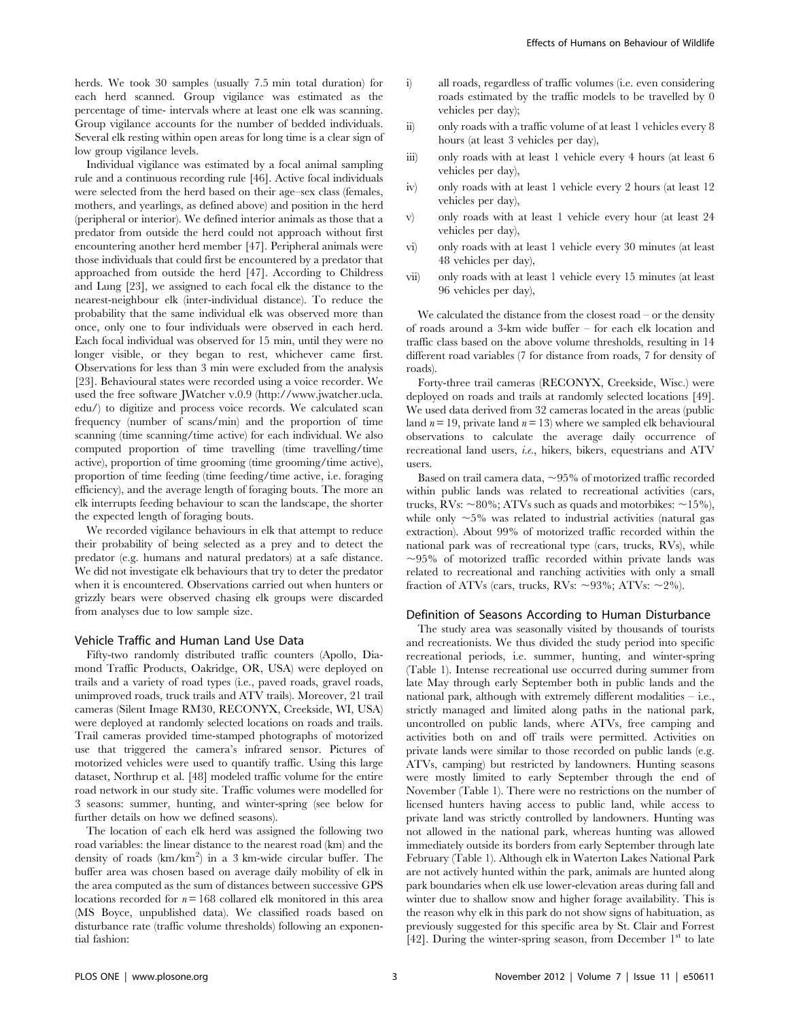herds. We took 30 samples (usually 7.5 min total duration) for each herd scanned. Group vigilance was estimated as the percentage of time- intervals where at least one elk was scanning. Group vigilance accounts for the number of bedded individuals. Several elk resting within open areas for long time is a clear sign of low group vigilance levels.

Individual vigilance was estimated by a focal animal sampling rule and a continuous recording rule [46]. Active focal individuals were selected from the herd based on their age–sex class (females, mothers, and yearlings, as defined above) and position in the herd (peripheral or interior). We defined interior animals as those that a predator from outside the herd could not approach without first encountering another herd member [47]. Peripheral animals were those individuals that could first be encountered by a predator that approached from outside the herd [47]. According to Childress and Lung [23], we assigned to each focal elk the distance to the nearest-neighbour elk (inter-individual distance). To reduce the probability that the same individual elk was observed more than once, only one to four individuals were observed in each herd. Each focal individual was observed for 15 min, until they were no longer visible, or they began to rest, whichever came first. Observations for less than 3 min were excluded from the analysis [23]. Behavioural states were recorded using a voice recorder. We used the free software JWatcher v.0.9 (http://www.jwatcher.ucla. edu/) to digitize and process voice records. We calculated scan frequency (number of scans/min) and the proportion of time scanning (time scanning/time active) for each individual. We also computed proportion of time travelling (time travelling/time active), proportion of time grooming (time grooming/time active), proportion of time feeding (time feeding/time active, i.e. foraging efficiency), and the average length of foraging bouts. The more an elk interrupts feeding behaviour to scan the landscape, the shorter the expected length of foraging bouts.

We recorded vigilance behaviours in elk that attempt to reduce their probability of being selected as a prey and to detect the predator (e.g. humans and natural predators) at a safe distance. We did not investigate elk behaviours that try to deter the predator when it is encountered. Observations carried out when hunters or grizzly bears were observed chasing elk groups were discarded from analyses due to low sample size.

# Vehicle Traffic and Human Land Use Data

Fifty-two randomly distributed traffic counters (Apollo, Diamond Traffic Products, Oakridge, OR, USA) were deployed on trails and a variety of road types (i.e., paved roads, gravel roads, unimproved roads, truck trails and ATV trails). Moreover, 21 trail cameras (Silent Image RM30, RECONYX, Creekside, WI, USA) were deployed at randomly selected locations on roads and trails. Trail cameras provided time-stamped photographs of motorized use that triggered the camera's infrared sensor. Pictures of motorized vehicles were used to quantify traffic. Using this large dataset, Northrup et al. [48] modeled traffic volume for the entire road network in our study site. Traffic volumes were modelled for 3 seasons: summer, hunting, and winter-spring (see below for further details on how we defined seasons).

The location of each elk herd was assigned the following two road variables: the linear distance to the nearest road (km) and the density of roads (km/km<sup>2</sup>) in a 3 km-wide circular buffer. The buffer area was chosen based on average daily mobility of elk in the area computed as the sum of distances between successive GPS locations recorded for  $n = 168$  collared elk monitored in this area (MS Boyce, unpublished data). We classified roads based on disturbance rate (traffic volume thresholds) following an exponential fashion:

- i) all roads, regardless of traffic volumes (i.e. even considering roads estimated by the traffic models to be travelled by 0 vehicles per day);
- ii) only roads with a traffic volume of at least 1 vehicles every 8 hours (at least 3 vehicles per day),
- iii) only roads with at least 1 vehicle every 4 hours (at least 6 vehicles per day),
- iv) only roads with at least 1 vehicle every 2 hours (at least 12 vehicles per day),
- v) only roads with at least 1 vehicle every hour (at least 24 vehicles per day),
- vi) only roads with at least 1 vehicle every 30 minutes (at least 48 vehicles per day),
- vii) only roads with at least 1 vehicle every 15 minutes (at least 96 vehicles per day),

We calculated the distance from the closest road – or the density of roads around a 3-km wide buffer – for each elk location and traffic class based on the above volume thresholds, resulting in 14 different road variables (7 for distance from roads, 7 for density of roads).

Forty-three trail cameras (RECONYX, Creekside, Wisc.) were deployed on roads and trails at randomly selected locations [49]. We used data derived from 32 cameras located in the areas (public land  $n = 19$ , private land  $n = 13$ ) where we sampled elk behavioural observations to calculate the average daily occurrence of recreational land users, i.e., hikers, bikers, equestrians and ATV users.

Based on trail camera data,  $\sim$ 95% of motorized traffic recorded within public lands was related to recreational activities (cars, trucks, RVs:  $\sim$ 80%; ATVs such as quads and motorbikes:  $\sim$ 15%), while only  $\sim$  5% was related to industrial activities (natural gas extraction). About 99% of motorized traffic recorded within the national park was of recreational type (cars, trucks, RVs), while  $\sim$ 95% of motorized traffic recorded within private lands was related to recreational and ranching activities with only a small fraction of ATVs (cars, trucks, RVs:  $\sim$ 93%; ATVs:  $\sim$ 2%).

#### Definition of Seasons According to Human Disturbance

The study area was seasonally visited by thousands of tourists and recreationists. We thus divided the study period into specific recreational periods, i.e. summer, hunting, and winter-spring (Table 1). Intense recreational use occurred during summer from late May through early September both in public lands and the national park, although with extremely different modalities – i.e., strictly managed and limited along paths in the national park, uncontrolled on public lands, where ATVs, free camping and activities both on and off trails were permitted. Activities on private lands were similar to those recorded on public lands (e.g. ATVs, camping) but restricted by landowners. Hunting seasons were mostly limited to early September through the end of November (Table 1). There were no restrictions on the number of licensed hunters having access to public land, while access to private land was strictly controlled by landowners. Hunting was not allowed in the national park, whereas hunting was allowed immediately outside its borders from early September through late February (Table 1). Although elk in Waterton Lakes National Park are not actively hunted within the park, animals are hunted along park boundaries when elk use lower-elevation areas during fall and winter due to shallow snow and higher forage availability. This is the reason why elk in this park do not show signs of habituation, as previously suggested for this specific area by St. Clair and Forrest [42]. During the winter-spring season, from December  $1<sup>st</sup>$  to late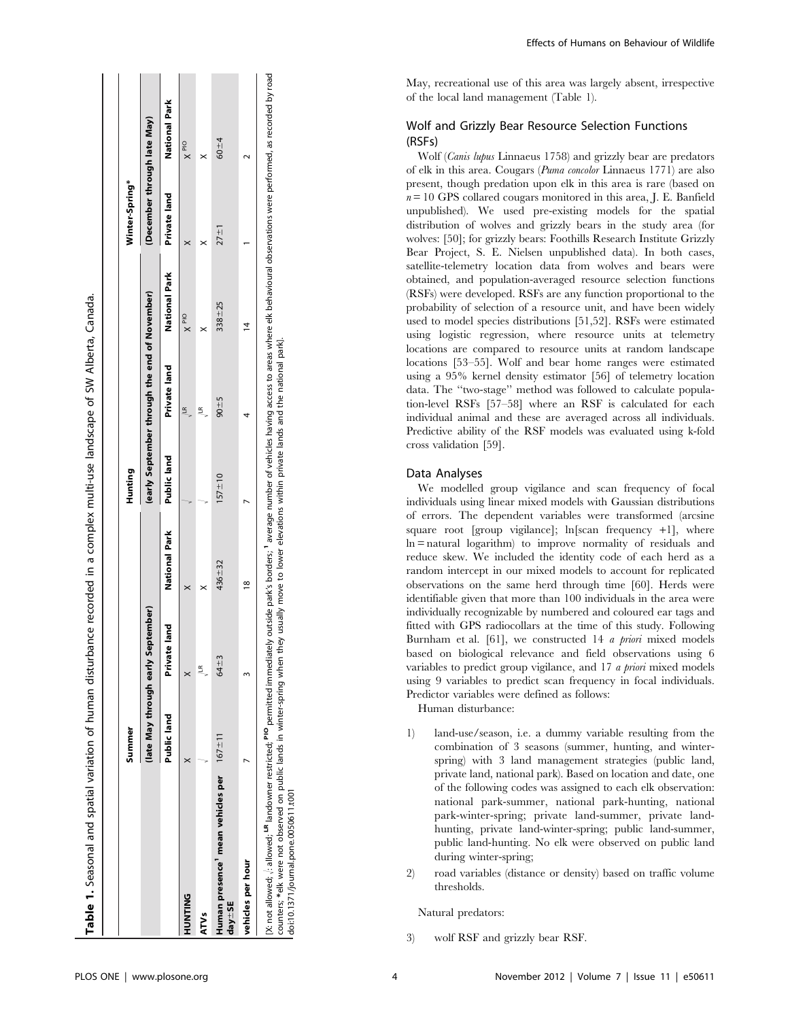|                   |                                                | Summer      |                                    |               | Hunting     |                                               |                | Winter-Spring*              |               |
|-------------------|------------------------------------------------|-------------|------------------------------------|---------------|-------------|-----------------------------------------------|----------------|-----------------------------|---------------|
|                   |                                                |             | (late May through early September) |               |             | (early September through the end of November) |                | (December through late May) |               |
|                   |                                                | Public land | te land<br>Privat                  | National Park | Public land | Private land                                  | National Park  | Private land                | National Park |
| <b>UNIFNINT</b>   |                                                |             |                                    |               |             | $\leq$                                        | $\times$ PIO   |                             | $\times$ PIO  |
| ATVs              |                                                |             | £                                  |               |             | ≝                                             |                |                             |               |
| $day = SE$        | Human presence' mean vehicles per $167 \pm 11$ |             | 64+3                               | 436+32        | $157 + 10$  | $90 - 5$                                      | $338 + 25$     | $27 + 1$                    | $60 + 4$      |
| vehicles per hour |                                                |             |                                    | $\frac{8}{2}$ |             |                                               | $\overline{4}$ |                             |               |

park]. counters; \*elk were not observed on public lands in winter-spring when they usually move to lower elevations within private lands and the national park]. ēľ π eم<br>ع and ಕೆ  $\frac{1}{6}$ orivate within ations ٩Ë ē ఠ g yllsually they ۹n ई Suiuds. in winter-\*elk were not observed on public lands doi:10.1371/journal.pone.0050611.t001 doi:10.1371/journal.pone.0050611.t001 unters;

Effects of Humans on Behaviour of Wildlife

May, recreational use of this area was largely absent, irrespective of the local land management (Table 1).

# Wolf and Grizzly Bear Resource Selection Functions (RSFs)

Wolf (Canis lupus Linnaeus 1758) and grizzly bear are predators of elk in this area. Cougars (Puma concolor Linnaeus 1771) are also present, though predation upon elk in this area is rare (based on  $n = 10$  GPS collared cougars monitored in this area, J. E. Banfield unpublished). We used pre-existing models for the spatial distribution of wolves and grizzly bears in the study area (for wolves: [50]; for grizzly bears: Foothills Research Institute Grizzly Bear Project, S. E. Nielsen unpublished data). In both cases, satellite-telemetry location data from wolves and bears were obtained, and population-averaged resource selection functions (RSFs) were developed. RSFs are any function proportional to the probability of selection of a resource unit, and have been widely used to model species distributions [51,52]. RSFs were estimated using logistic regression, where resource units at telemetry locations are compared to resource units at random landscape locations [53–55]. Wolf and bear home ranges were estimated using a 95% kernel density estimator [56] of telemetry location data. The ''two-stage'' method was followed to calculate population-level RSFs [57–58] where an RSF is calculated for each individual animal and these are averaged across all individuals. Predictive ability of the RSF models was evaluated using k-fold cross validation [59].

# Data Analyses

We modelled group vigilance and scan frequency of focal individuals using linear mixed models with Gaussian distributions of errors. The dependent variables were transformed (arcsine square root [group vigilance];  $\ln$ [scan frequency +1], where ln = natural logarithm) to improve normality of residuals and reduce skew. We included the identity code of each herd as a random intercept in our mixed models to account for replicated observations on the same herd through time [60]. Herds were identifiable given that more than 100 individuals in the area were individually recognizable by numbered and coloured ear tags and fitted with GPS radiocollars at the time of this study. Following Burnham et al. [61], we constructed 14 *a priori* mixed models based on biological relevance and field observations using 6 variables to predict group vigilance, and 17 a priori mixed models using 9 variables to predict scan frequency in focal individuals. Predictor variables were defined as follows:

Human disturbance:

- 1) land-use/season, i.e. a dummy variable resulting from the combination of 3 seasons (summer, hunting, and winterspring) with 3 land management strategies (public land, private land, national park). Based on location and date, one of the following codes was assigned to each elk observation: national park-summer, national park-hunting, national park-winter-spring; private land-summer, private landhunting, private land-winter-spring; public land-summer, public land-hunting. No elk were observed on public land during winter-spring;
- 2) road variables (distance or density) based on traffic volume thresholds.

Natural predators:

3) wolf RSF and grizzly bear RSF.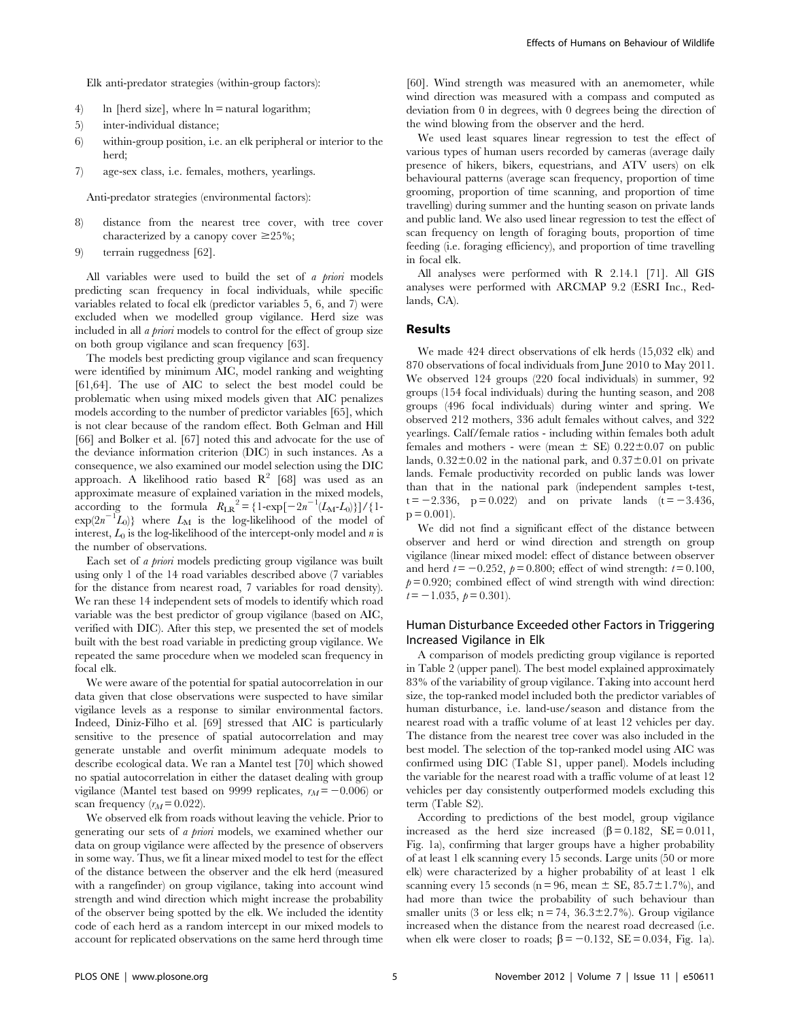Elk anti-predator strategies (within-group factors):

- 4) ln [herd size], where  $\ln$  = natural logarithm;
- 5) inter-individual distance;
- 6) within-group position, i.e. an elk peripheral or interior to the herd;
- 7) age-sex class, i.e. females, mothers, yearlings.

7) Anti-predator strategies (environmental factors):

- 8) distance from the nearest tree cover, with tree cover characterized by a canopy cover  $\geq 25\%$ ;
- 9) terrain ruggedness [62].

All variables were used to build the set of a priori models predicting scan frequency in focal individuals, while specific variables related to focal elk (predictor variables 5, 6, and 7) were excluded when we modelled group vigilance. Herd size was included in all a priori models to control for the effect of group size on both group vigilance and scan frequency [63].

The models best predicting group vigilance and scan frequency were identified by minimum AIC, model ranking and weighting [61,64]. The use of AIC to select the best model could be problematic when using mixed models given that AIC penalizes models according to the number of predictor variables [65], which is not clear because of the random effect. Both Gelman and Hill [66] and Bolker et al. [67] noted this and advocate for the use of the deviance information criterion (DIC) in such instances. As a consequence, we also examined our model selection using the DIC approach. A likelihood ratio based  $R^2$  [68] was used as an approximate measure of explained variation in the mixed models, according to the formula  $R_{LR}^2 = \{1-\exp[-2n^{-1}(L_M-L_0)]\}/\{1-\}$  $\exp(2n^{-1}\tilde{L}_0)$ } where  $L_M$  is the log-likelihood of the model of interest,  $L_0$  is the log-likelihood of the intercept-only model and n is the number of observations.

Each set of *a priori* models predicting group vigilance was built using only 1 of the 14 road variables described above (7 variables for the distance from nearest road, 7 variables for road density). We ran these 14 independent sets of models to identify which road variable was the best predictor of group vigilance (based on AIC, verified with DIC). After this step, we presented the set of models built with the best road variable in predicting group vigilance. We repeated the same procedure when we modeled scan frequency in focal elk.

We were aware of the potential for spatial autocorrelation in our data given that close observations were suspected to have similar vigilance levels as a response to similar environmental factors. Indeed, Diniz-Filho et al. [69] stressed that AIC is particularly sensitive to the presence of spatial autocorrelation and may generate unstable and overfit minimum adequate models to describe ecological data. We ran a Mantel test [70] which showed no spatial autocorrelation in either the dataset dealing with group vigilance (Mantel test based on 9999 replicates,  $r_M = -0.006$ ) or scan frequency  $(r_M = 0.022)$ .

We observed elk from roads without leaving the vehicle. Prior to generating our sets of a priori models, we examined whether our data on group vigilance were affected by the presence of observers in some way. Thus, we fit a linear mixed model to test for the effect of the distance between the observer and the elk herd (measured with a rangefinder) on group vigilance, taking into account wind strength and wind direction which might increase the probability of the observer being spotted by the elk. We included the identity code of each herd as a random intercept in our mixed models to account for replicated observations on the same herd through time

[60]. Wind strength was measured with an anemometer, while wind direction was measured with a compass and computed as deviation from 0 in degrees, with 0 degrees being the direction of the wind blowing from the observer and the herd.

We used least squares linear regression to test the effect of various types of human users recorded by cameras (average daily presence of hikers, bikers, equestrians, and ATV users) on elk behavioural patterns (average scan frequency, proportion of time grooming, proportion of time scanning, and proportion of time travelling) during summer and the hunting season on private lands and public land. We also used linear regression to test the effect of scan frequency on length of foraging bouts, proportion of time feeding (i.e. foraging efficiency), and proportion of time travelling in focal elk.

All analyses were performed with R 2.14.1 [71]. All GIS analyses were performed with ARCMAP 9.2 (ESRI Inc., Redlands, CA).

## Results

We made 424 direct observations of elk herds (15,032 elk) and 870 observations of focal individuals from June 2010 to May 2011. We observed 124 groups (220 focal individuals) in summer, 92 groups (154 focal individuals) during the hunting season, and 208 groups (496 focal individuals) during winter and spring. We observed 212 mothers, 336 adult females without calves, and 322 yearlings. Calf/female ratios - including within females both adult females and mothers - were (mean  $\pm$  SE) 0.22 $\pm$ 0.07 on public lands,  $0.32\pm0.02$  in the national park, and  $0.37\pm0.01$  on private lands. Female productivity recorded on public lands was lower than that in the national park (independent samples t-test,  $t = -2.336$ ,  $p = 0.022$ ) and on private lands  $(t = -3.436)$ ,  $p = 0.001$ .

We did not find a significant effect of the distance between observer and herd or wind direction and strength on group vigilance (linear mixed model: effect of distance between observer and herd  $t = -0.252$ ,  $p = 0.800$ ; effect of wind strength:  $t = 0.100$ ,  $p= 0.920$ ; combined effect of wind strength with wind direction:  $t=-1.035, \; p= 0.301$ .

# Human Disturbance Exceeded other Factors in Triggering Increased Vigilance in Elk

A comparison of models predicting group vigilance is reported in Table 2 (upper panel). The best model explained approximately 83% of the variability of group vigilance. Taking into account herd size, the top-ranked model included both the predictor variables of human disturbance, i.e. land-use/season and distance from the nearest road with a traffic volume of at least 12 vehicles per day. The distance from the nearest tree cover was also included in the best model. The selection of the top-ranked model using AIC was confirmed using DIC (Table S1, upper panel). Models including the variable for the nearest road with a traffic volume of at least 12 vehicles per day consistently outperformed models excluding this term (Table S2).

According to predictions of the best model, group vigilance increased as the herd size increased  $(\beta = 0.182, \text{ SE} = 0.011,$ Fig. 1a), confirming that larger groups have a higher probability of at least 1 elk scanning every 15 seconds. Large units (50 or more elk) were characterized by a higher probability of at least 1 elk scanning every 15 seconds ( $n = 96$ , mean  $\pm$  SE, 85.7 $\pm$ 1.7%), and had more than twice the probability of such behaviour than smaller units (3 or less elk;  $n = 74$ ,  $36.3 \pm 2.7$ %). Group vigilance increased when the distance from the nearest road decreased (i.e. when elk were closer to roads;  $\beta = -0.132$ , SE = 0.034, Fig. 1a).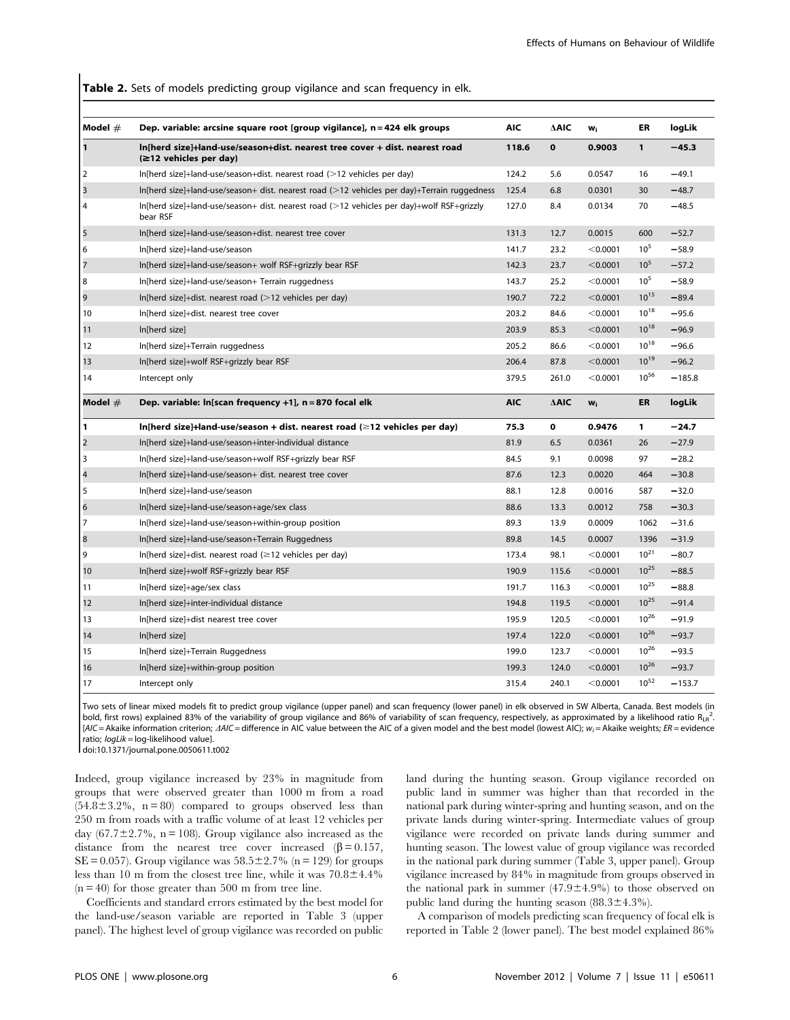Table 2. Sets of models predicting group vigilance and scan frequency in elk.

| Model $#$      | Dep. variable: arcsine square root [group vigilance], n = 424 elk groups                                | <b>AIC</b> | ∆AIC            | w <sub>i</sub>        | ER           | logLik   |
|----------------|---------------------------------------------------------------------------------------------------------|------------|-----------------|-----------------------|--------------|----------|
| $\mathbf{1}$   | In[herd size]+land-use/season+dist. nearest tree cover + dist. nearest road<br>(≥12 vehicles per day)   | 118.6      | $\mathbf{o}$    | 0.9003                | $\mathbf{1}$ | $-45.3$  |
| 2              | $ln[herd size]+land-use/season+dist. nearest road (>12 vehicles per day)$                               | 124.2      | 5.6             | 0.0547                | 16           | $-49.1$  |
| 3              | $In[herd size]+land-use/season+ dist. nearest road (>12 vehicles per day)+Terrain ruagedness$           | 125.4      | 6.8             | 0.0301                | 30           | $-48.7$  |
| 4              | $In[herd size]+land-use/season+ dist. nearest road (>12 vehicles per day)+Wolf RSF+grizzly$<br>bear RSF | 127.0      | 8.4             | 0.0134                | 70           | $-48.5$  |
| 5              | In[herd size]+land-use/season+dist. nearest tree cover                                                  | 131.3      | 12.7            | 0.0015                | 600          | $-52.7$  |
| 6              | In[herd size]+land-use/season                                                                           | 141.7      | 23.2            | < 0.0001              | $10^{5}$     | $-58.9$  |
| 7              | In[herd size]+land-use/season+ wolf RSF+grizzly bear RSF                                                | 142.3      | 23.7            | < 0.0001              | $10^{5}$     | $-57.2$  |
| 8              | In[herd size]+land-use/season+ Terrain ruggedness                                                       | 143.7      | 25.2            | < 0.0001              | $10^{5}$     | $-58.9$  |
| 9              | In[herd size]+dist. nearest road $(>12$ vehicles per day)                                               | 190.7      | 72.2            | < 0.0001              | $10^{15}$    | $-89.4$  |
| 10             | In[herd size]+dist. nearest tree cover                                                                  | 203.2      | 84.6            | < 0.0001              | $10^{18}$    | $-95.6$  |
| 11             | In[herd size]                                                                                           | 203.9      | 85.3            | < 0.0001              | $10^{18}$    | $-96.9$  |
| 12             | In[herd size]+Terrain ruggedness                                                                        | 205.2      | 86.6            | < 0.0001              | $10^{18}$    | $-96.6$  |
| 13             | In[herd size]+wolf RSF+grizzly bear RSF                                                                 | 206.4      | 87.8            | < 0.0001              | $10^{19}$    | $-96.2$  |
| 14             | Intercept only                                                                                          | 379.5      | 261.0           | < 0.0001              | $10^{56}$    | $-185.8$ |
| Model $#$      | Dep. variable: ln[scan frequency +1], n = 870 focal elk                                                 | <b>AIC</b> | $\triangle AIC$ | <b>W</b> <sub>i</sub> | ER           | logLik   |
| $\mathbf{1}$   | In[herd size]+land-use/season + dist. nearest road $(\geq 12$ vehicles per day)                         | 75.3       | $\mathbf 0$     | 0.9476                | 1            | $-24.7$  |
| $\overline{2}$ | In[herd size]+land-use/season+inter-individual distance                                                 | 81.9       | 6.5             | 0.0361                | 26           | $-27.9$  |
| 3              | In[herd size]+land-use/season+wolf RSF+grizzly bear RSF                                                 | 84.5       | 9.1             | 0.0098                | 97           | $-28.2$  |
| $\overline{4}$ | In[herd size]+land-use/season+ dist. nearest tree cover                                                 | 87.6       | 12.3            | 0.0020                | 464          | $-30.8$  |
| 5              | In[herd size]+land-use/season                                                                           | 88.1       | 12.8            | 0.0016                | 587          | $-32.0$  |
| 6              | In[herd size]+land-use/season+age/sex class                                                             | 88.6       | 13.3            | 0.0012                | 758          | $-30.3$  |
| 7              | In[herd size]+land-use/season+within-group position                                                     | 89.3       | 13.9            | 0.0009                | 1062         | $-31.6$  |
| 8              | In[herd size]+land-use/season+Terrain Ruggedness                                                        | 89.8       | 14.5            | 0.0007                | 1396         | $-31.9$  |
| 9              | In[herd size]+dist. nearest road ( $\geq$ 12 vehicles per day)                                          | 173.4      | 98.1            | < 0.0001              | $10^{21}$    | $-80.7$  |
| 10             | In[herd size]+wolf RSF+grizzly bear RSF                                                                 | 190.9      | 115.6           | < 0.0001              | $10^{25}$    | $-88.5$  |
| 11             | In[herd size]+age/sex class                                                                             | 191.7      | 116.3           | < 0.0001              | $10^{25}$    | $-88.8$  |
| 12             | In[herd size]+inter-individual distance                                                                 | 194.8      | 119.5           | < 0.0001              | $10^{25}$    | $-91.4$  |
| 13             | In[herd size]+dist nearest tree cover                                                                   | 195.9      | 120.5           | < 0.0001              | $10^{26}$    | $-91.9$  |
| 14             | In[herd size]                                                                                           | 197.4      | 122.0           | < 0.0001              | $10^{26}$    | $-93.7$  |
| 15             | In[herd size]+Terrain Ruggedness                                                                        | 199.0      | 123.7           | < 0.0001              | $10^{26}$    | $-93.5$  |
| 16             | In[herd size]+within-group position                                                                     | 199.3      | 124.0           | < 0.0001              | $10^{26}$    | $-93.7$  |
| 17             | Intercept only                                                                                          | 315.4      | 240.1           | < 0.0001              | $10^{52}$    | $-153.7$ |

Two sets of linear mixed models fit to predict group vigilance (upper panel) and scan frequency (lower panel) in elk observed in SW Alberta, Canada. Best models (in bold, first rows) explained 83% of the variability of group vigilance and 86% of variability of scan frequency, respectively, as approximated by a likelihood ratio RLR<sup>2</sup>.  $[ALC = Akaike$  information criterion;  $\Delta AIC =$  difference in AIC value between the AIC of a given model and the best model (lowest AIC);  $w_i =$  Akaike weights; ER = evidence ratio; logLik = log-likelihood value].

doi:10.1371/journal.pone.0050611.t002

Indeed, group vigilance increased by 23% in magnitude from groups that were observed greater than 1000 m from a road  $(54.8\pm3.2\% , n = 80)$  compared to groups observed less than 250 m from roads with a traffic volume of at least 12 vehicles per day  $(67.7 \pm 2.7\%)$ , n = 108). Group vigilance also increased as the distance from the nearest tree cover increased  $(\beta = 0.157,$ SE = 0.057). Group vigilance was  $58.5 \pm 2.7\%$  (n = 129) for groups less than 10 m from the closest tree line, while it was  $70.8\pm4.4\%$  $(n = 40)$  for those greater than 500 m from tree line.

Coefficients and standard errors estimated by the best model for the land-use/season variable are reported in Table 3 (upper panel). The highest level of group vigilance was recorded on public land during the hunting season. Group vigilance recorded on public land in summer was higher than that recorded in the national park during winter-spring and hunting season, and on the private lands during winter-spring. Intermediate values of group vigilance were recorded on private lands during summer and hunting season. The lowest value of group vigilance was recorded in the national park during summer (Table 3, upper panel). Group vigilance increased by 84% in magnitude from groups observed in the national park in summer  $(47.9 \pm 4.9\%)$  to those observed on public land during the hunting season  $(88.3 \pm 4.3\%)$ .

A comparison of models predicting scan frequency of focal elk is reported in Table 2 (lower panel). The best model explained 86%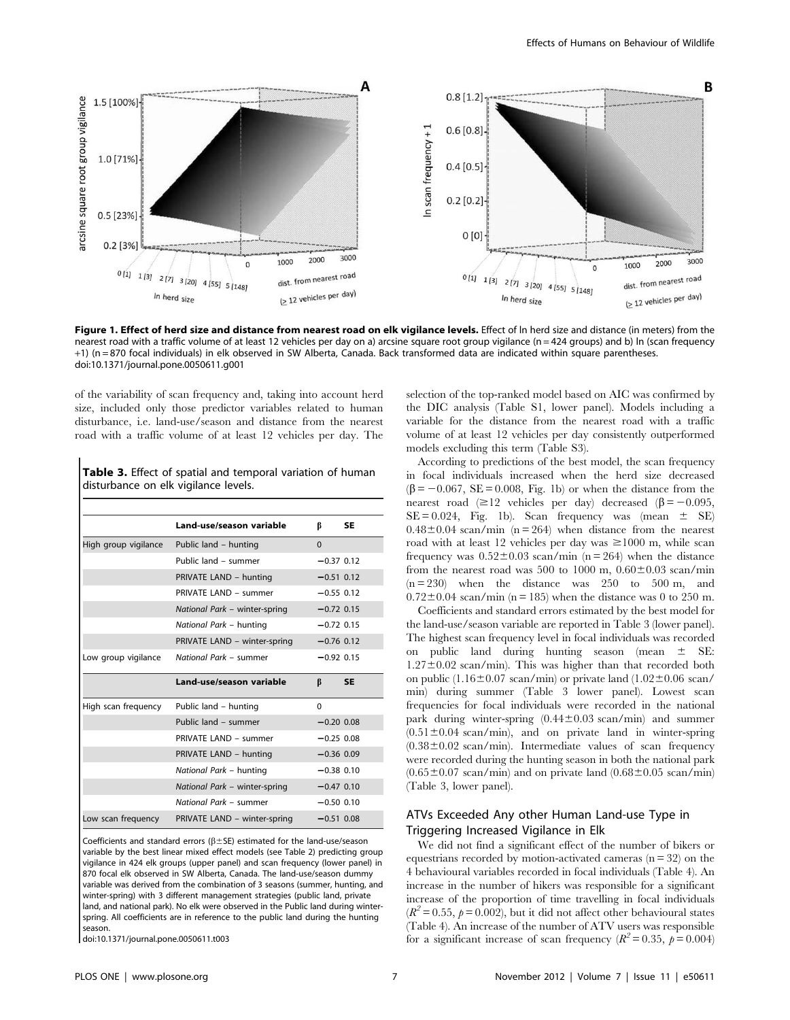

Figure 1. Effect of herd size and distance from nearest road on elk vigilance levels. Effect of In herd size and distance (in meters) from the nearest road with a traffic volume of at least 12 vehicles per day on a) arcsine square root group vigilance (n = 424 groups) and b) In (scan frequency +1) (n = 870 focal individuals) in elk observed in SW Alberta, Canada. Back transformed data are indicated within square parentheses. doi:10.1371/journal.pone.0050611.g001

of the variability of scan frequency and, taking into account herd size, included only those predictor variables related to human disturbance, i.e. land-use/season and distance from the nearest road with a traffic volume of at least 12 vehicles per day. The

Table 3. Effect of spatial and temporal variation of human disturbance on elk vigilance levels.

|                     | Land-use/season variable                   | ß            | <b>SE</b> |
|---------------------|--------------------------------------------|--------------|-----------|
|                     | High group vigilance Public land - hunting | $\Omega$     |           |
|                     | Public land - summer                       | $-0.37$ 0.12 |           |
|                     | PRIVATE LAND - hunting                     | $-0.51$ 0.12 |           |
|                     | PRIVATE LAND - summer                      | $-0.55$ 0.12 |           |
|                     | National Park - winter-spring              | $-0.72$ 0.15 |           |
|                     | National Park - hunting                    | $-0.72$ 0.15 |           |
|                     | PRIVATE LAND - winter-spring               | $-0.76$ 0.12 |           |
| Low group vigilance | National Park - summer                     | $-0.92$ 0.15 |           |
|                     | Land-use/season variable                   | B            | <b>SE</b> |
| High scan frequency | Public land – hunting                      | $\Omega$     |           |
|                     | Public land - summer                       | $-0.20$ 0.08 |           |
|                     | PRIVATE LAND - summer                      | $-0.25$ 0.08 |           |
|                     | PRIVATE LAND - hunting                     | $-0.36$ 0.09 |           |
|                     | National Park - hunting                    | $-0.38$ 0.10 |           |
|                     | National Park - winter-spring              | $-0.47$ 0.10 |           |
|                     | National Park - summer                     | $-0.50$ 0.10 |           |
| Low scan frequency  | PRIVATE LAND - winter-spring               | $-0.51$ 0.08 |           |

Coefficients and standard errors ( $\beta$  ± SE) estimated for the land-use/season variable by the best linear mixed effect models (see Table 2) predicting group vigilance in 424 elk groups (upper panel) and scan frequency (lower panel) in 870 focal elk observed in SW Alberta, Canada. The land-use/season dummy variable was derived from the combination of 3 seasons (summer, hunting, and winter-spring) with 3 different management strategies (public land, private land, and national park). No elk were observed in the Public land during winterspring. All coefficients are in reference to the public land during the hunting season.

doi:10.1371/journal.pone.0050611.t003

selection of the top-ranked model based on AIC was confirmed by the DIC analysis (Table S1, lower panel). Models including a variable for the distance from the nearest road with a traffic volume of at least 12 vehicles per day consistently outperformed models excluding this term (Table S3).

According to predictions of the best model, the scan frequency in focal individuals increased when the herd size decreased  $(\beta = -0.067, \text{ SE} = 0.008, \text{ Fig. 1b})$  or when the distance from the nearest road  $(\geq 12$  vehicles per day) decreased  $(\beta = -0.095,$  $SE = 0.024$ , Fig. 1b). Scan frequency was (mean  $\pm$  SE)  $0.48\pm0.04$  scan/min (n = 264) when distance from the nearest road with at least 12 vehicles per day was  $\geq 1000$  m, while scan frequency was  $0.52 \pm 0.03$  scan/min (n = 264) when the distance from the nearest road was 500 to 1000 m,  $0.60 \pm 0.03$  scan/min  $(n = 230)$  when the distance was 250 to 500 m, and  $0.72\pm0.04$  scan/min (n = 185) when the distance was 0 to 250 m.

Coefficients and standard errors estimated by the best model for the land-use/season variable are reported in Table 3 (lower panel). The highest scan frequency level in focal individuals was recorded on public land during hunting season (mean  $\pm$  SE:  $1.27\pm0.02$  scan/min). This was higher than that recorded both on public (1.16 $\pm$ 0.07 scan/min) or private land (1.02 $\pm$ 0.06 scan/ min) during summer (Table 3 lower panel). Lowest scan frequencies for focal individuals were recorded in the national park during winter-spring  $(0.44 \pm 0.03 \text{ scan/min})$  and summer  $(0.51 \pm 0.04 \text{ scan/min})$ , and on private land in winter-spring  $(0.38\pm0.02~\mathrm{scan/min})$ . Intermediate values of scan frequency were recorded during the hunting season in both the national park  $(0.65\pm0.07 \text{ scan/min})$  and on private land  $(0.68\pm0.05 \text{ scan/min})$ (Table 3, lower panel).

# ATVs Exceeded Any other Human Land-use Type in Triggering Increased Vigilance in Elk

We did not find a significant effect of the number of bikers or equestrians recorded by motion-activated cameras  $(n = 32)$  on the 4 behavioural variables recorded in focal individuals (Table 4). An increase in the number of hikers was responsible for a significant increase of the proportion of time travelling in focal individuals  $(R^2 = 0.55, p = 0.002)$ , but it did not affect other behavioural states (Table 4). An increase of the number of ATV users was responsible for a significant increase of scan frequency ( $R^2 = 0.35$ ,  $p = 0.004$ )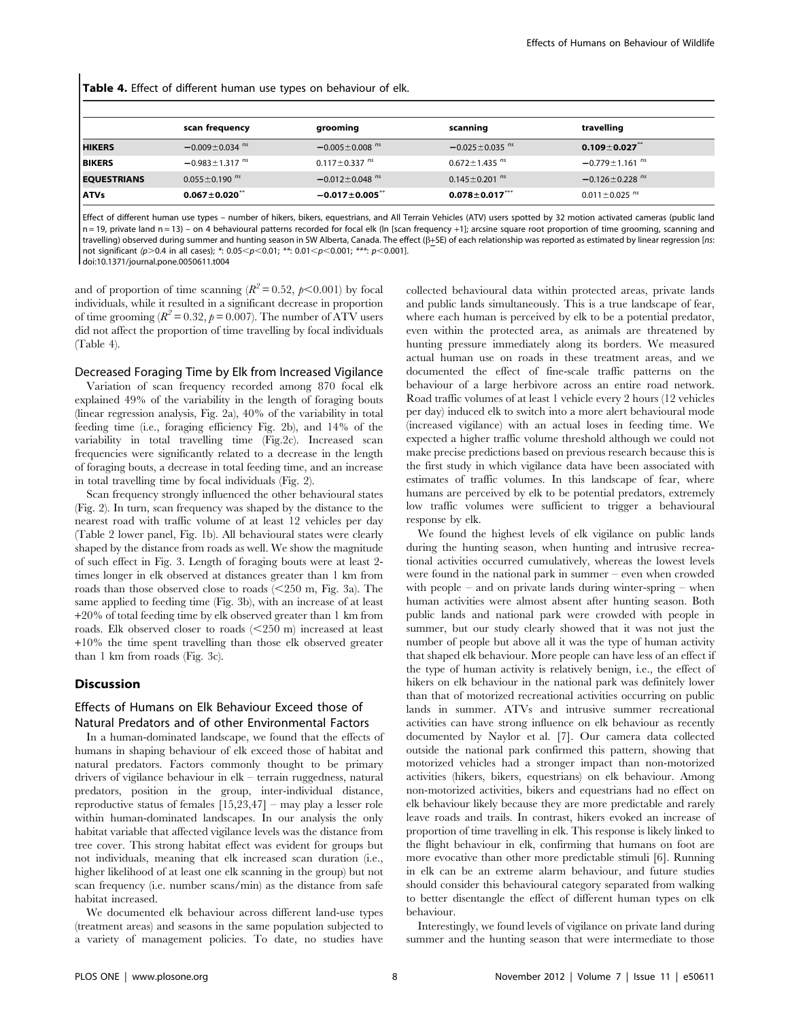Table 4. Effect of different human use types on behaviour of elk.

|                    | scan frequency                   | grooming                         | scanning                         | travelling                       |
|--------------------|----------------------------------|----------------------------------|----------------------------------|----------------------------------|
| <b>HIKERS</b>      | $-0.009 \pm 0.034$ <sup>ns</sup> | $-0.005 \pm 0.008$ <sup>ns</sup> | $-0.025 \pm 0.035$ <sup>ns</sup> | $0.109 \pm 0.027$                |
| <b>BIKERS</b>      | $-0.983 \pm 1.317$ <sup>ns</sup> | $0.117 \pm 0.337$ <sup>ns</sup>  | $0.672 \pm 1.435$ <sup>ns</sup>  | $-0.779 \pm 1.161^{n s}$         |
| <b>EQUESTRIANS</b> | $0.055 \pm 0.190$ <sup>ns</sup>  | $-0.012 \pm 0.048$ <sup>ns</sup> | $0.145 \pm 0.201$ <sup>ns</sup>  | $-0.126 \pm 0.228$ <sup>ns</sup> |
| <b>ATVs</b>        | $0.067 \pm 0.020$                | $-0.017 \pm 0.005$ <sup>**</sup> | $0.078 \pm 0.017$                | $0.011 \pm 0.025$ <sup>ns</sup>  |

Effect of different human use types – number of hikers, bikers, equestrians, and All Terrain Vehicles (ATV) users spotted by 32 motion activated cameras (public land  $n = 19$ , private land  $n = 13$ ) – on 4 behavioural patterns recorded for focal elk (ln [scan frequency +1]; arcsine square root proportion of time grooming, scanning and travelling) observed during summer and hunting season in SW Alberta, Canada. The effect ( $\beta$ +SE) of each relationship was reported as estimated by linear regression [ns: not significant (p>0.4 in all cases); \*: 0.05<p<0.01; \*\*: 0.01<p<0.001; \*\*\*: p<0.001].

doi:10.1371/journal.pone.0050611.t004

and of proportion of time scanning  $(R^2 = 0.52, p<0.001)$  by focal individuals, while it resulted in a significant decrease in proportion of time grooming ( $R^2 = 0.32$ ,  $p = 0.007$ ). The number of ATV users did not affect the proportion of time travelling by focal individuals (Table 4).

#### Decreased Foraging Time by Elk from Increased Vigilance

Variation of scan frequency recorded among 870 focal elk explained 49% of the variability in the length of foraging bouts (linear regression analysis, Fig. 2a), 40% of the variability in total feeding time (i.e., foraging efficiency Fig. 2b), and 14% of the variability in total travelling time (Fig.2c). Increased scan frequencies were significantly related to a decrease in the length of foraging bouts, a decrease in total feeding time, and an increase in total travelling time by focal individuals (Fig. 2).

Scan frequency strongly influenced the other behavioural states (Fig. 2). In turn, scan frequency was shaped by the distance to the nearest road with traffic volume of at least 12 vehicles per day (Table 2 lower panel, Fig. 1b). All behavioural states were clearly shaped by the distance from roads as well. We show the magnitude of such effect in Fig. 3. Length of foraging bouts were at least 2 times longer in elk observed at distances greater than 1 km from roads than those observed close to roads  $\approx$  250 m, Fig. 3a). The same applied to feeding time (Fig. 3b), with an increase of at least +20% of total feeding time by elk observed greater than 1 km from roads. Elk observed closer to roads  $\leq$  250 m) increased at least +10% the time spent travelling than those elk observed greater than 1 km from roads (Fig. 3c).

#### Discussion

# Effects of Humans on Elk Behaviour Exceed those of Natural Predators and of other Environmental Factors

In a human-dominated landscape, we found that the effects of humans in shaping behaviour of elk exceed those of habitat and natural predators. Factors commonly thought to be primary drivers of vigilance behaviour in elk – terrain ruggedness, natural predators, position in the group, inter-individual distance, reproductive status of females [15,23,47] – may play a lesser role within human-dominated landscapes. In our analysis the only habitat variable that affected vigilance levels was the distance from tree cover. This strong habitat effect was evident for groups but not individuals, meaning that elk increased scan duration (i.e., higher likelihood of at least one elk scanning in the group) but not scan frequency (i.e. number scans/min) as the distance from safe habitat increased.

We documented elk behaviour across different land-use types (treatment areas) and seasons in the same population subjected to a variety of management policies. To date, no studies have

collected behavioural data within protected areas, private lands and public lands simultaneously. This is a true landscape of fear, where each human is perceived by elk to be a potential predator, even within the protected area, as animals are threatened by hunting pressure immediately along its borders. We measured actual human use on roads in these treatment areas, and we documented the effect of fine-scale traffic patterns on the behaviour of a large herbivore across an entire road network. Road traffic volumes of at least 1 vehicle every 2 hours (12 vehicles per day) induced elk to switch into a more alert behavioural mode (increased vigilance) with an actual loses in feeding time. We expected a higher traffic volume threshold although we could not make precise predictions based on previous research because this is the first study in which vigilance data have been associated with estimates of traffic volumes. In this landscape of fear, where humans are perceived by elk to be potential predators, extremely low traffic volumes were sufficient to trigger a behavioural response by elk.

We found the highest levels of elk vigilance on public lands during the hunting season, when hunting and intrusive recreational activities occurred cumulatively, whereas the lowest levels were found in the national park in summer – even when crowded with people – and on private lands during winter-spring – when human activities were almost absent after hunting season. Both public lands and national park were crowded with people in summer, but our study clearly showed that it was not just the number of people but above all it was the type of human activity that shaped elk behaviour. More people can have less of an effect if the type of human activity is relatively benign, i.e., the effect of hikers on elk behaviour in the national park was definitely lower than that of motorized recreational activities occurring on public lands in summer. ATVs and intrusive summer recreational activities can have strong influence on elk behaviour as recently documented by Naylor et al. [7]. Our camera data collected outside the national park confirmed this pattern, showing that motorized vehicles had a stronger impact than non-motorized activities (hikers, bikers, equestrians) on elk behaviour. Among non-motorized activities, bikers and equestrians had no effect on elk behaviour likely because they are more predictable and rarely leave roads and trails. In contrast, hikers evoked an increase of proportion of time travelling in elk. This response is likely linked to the flight behaviour in elk, confirming that humans on foot are more evocative than other more predictable stimuli [6]. Running in elk can be an extreme alarm behaviour, and future studies should consider this behavioural category separated from walking to better disentangle the effect of different human types on elk behaviour.

Interestingly, we found levels of vigilance on private land during summer and the hunting season that were intermediate to those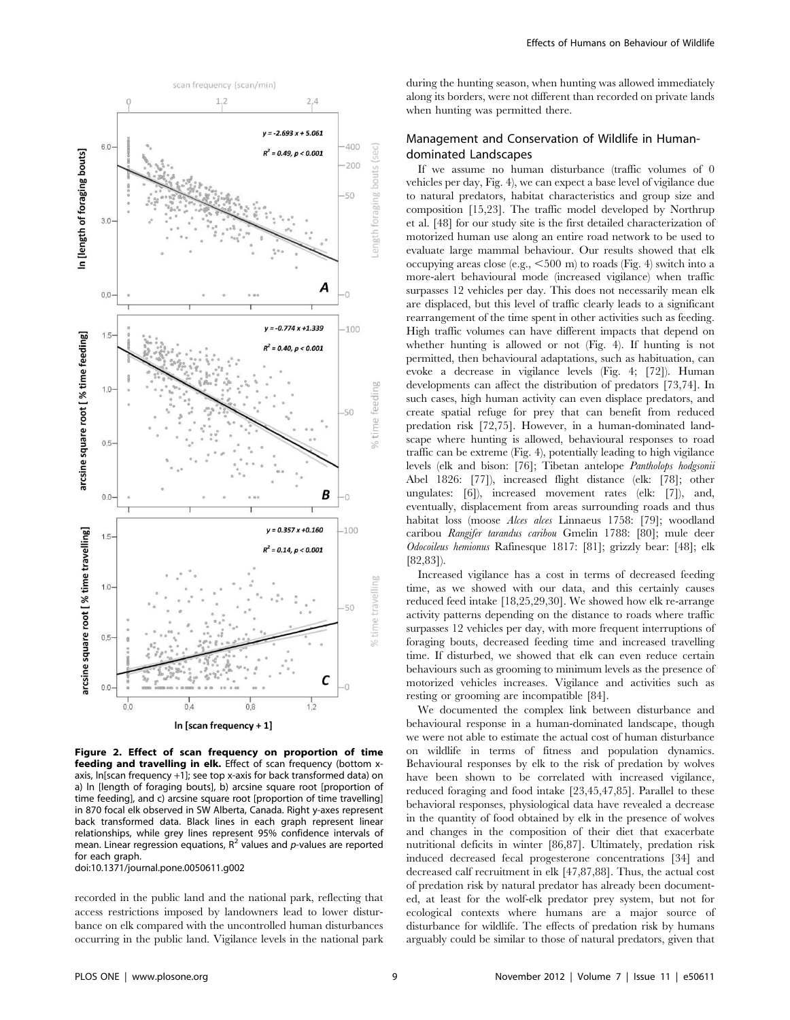

Figure 2. Effect of scan frequency on proportion of time feeding and travelling in elk. Effect of scan frequency (bottom xaxis, ln[scan frequency +1]; see top x-axis for back transformed data) on a) ln [length of foraging bouts], b) arcsine square root [proportion of time feeding], and c) arcsine square root [proportion of time travelling] in 870 focal elk observed in SW Alberta, Canada. Right y-axes represent back transformed data. Black lines in each graph represent linear relationships, while grey lines represent 95% confidence intervals of mean. Linear regression equations,  $R^2$  values and p-values are reported for each graph.

doi:10.1371/journal.pone.0050611.g002

recorded in the public land and the national park, reflecting that access restrictions imposed by landowners lead to lower disturbance on elk compared with the uncontrolled human disturbances occurring in the public land. Vigilance levels in the national park during the hunting season, when hunting was allowed immediately along its borders, were not different than recorded on private lands when hunting was permitted there.

# Management and Conservation of Wildlife in Humandominated Landscapes

If we assume no human disturbance (traffic volumes of 0 vehicles per day, Fig. 4), we can expect a base level of vigilance due to natural predators, habitat characteristics and group size and composition [15,23]. The traffic model developed by Northrup et al. [48] for our study site is the first detailed characterization of motorized human use along an entire road network to be used to evaluate large mammal behaviour. Our results showed that elk occupying areas close (e.g.,  $\leq 500$  m) to roads (Fig. 4) switch into a more-alert behavioural mode (increased vigilance) when traffic surpasses 12 vehicles per day. This does not necessarily mean elk are displaced, but this level of traffic clearly leads to a significant rearrangement of the time spent in other activities such as feeding. High traffic volumes can have different impacts that depend on whether hunting is allowed or not (Fig. 4). If hunting is not permitted, then behavioural adaptations, such as habituation, can evoke a decrease in vigilance levels (Fig. 4; [72]). Human developments can affect the distribution of predators [73,74]. In such cases, high human activity can even displace predators, and create spatial refuge for prey that can benefit from reduced predation risk [72,75]. However, in a human-dominated landscape where hunting is allowed, behavioural responses to road traffic can be extreme (Fig. 4), potentially leading to high vigilance levels (elk and bison: [76]; Tibetan antelope Pantholops hodgsonii Abel 1826: [77]), increased flight distance (elk: [78]; other ungulates: [6]), increased movement rates (elk: [7]), and, eventually, displacement from areas surrounding roads and thus habitat loss (moose Alces alces Linnaeus 1758: [79]; woodland caribou Rangifer tarandus caribou Gmelin 1788: [80]; mule deer Odocoileus hemionus Rafinesque 1817: [81]; grizzly bear: [48]; elk [82,83]).

Increased vigilance has a cost in terms of decreased feeding time, as we showed with our data, and this certainly causes reduced feed intake [18,25,29,30]. We showed how elk re-arrange activity patterns depending on the distance to roads where traffic surpasses 12 vehicles per day, with more frequent interruptions of foraging bouts, decreased feeding time and increased travelling time. If disturbed, we showed that elk can even reduce certain behaviours such as grooming to minimum levels as the presence of motorized vehicles increases. Vigilance and activities such as resting or grooming are incompatible [84].

We documented the complex link between disturbance and behavioural response in a human-dominated landscape, though we were not able to estimate the actual cost of human disturbance on wildlife in terms of fitness and population dynamics. Behavioural responses by elk to the risk of predation by wolves have been shown to be correlated with increased vigilance, reduced foraging and food intake [23,45,47,85]. Parallel to these behavioral responses, physiological data have revealed a decrease in the quantity of food obtained by elk in the presence of wolves and changes in the composition of their diet that exacerbate nutritional deficits in winter [86,87]. Ultimately, predation risk induced decreased fecal progesterone concentrations [34] and decreased calf recruitment in elk [47,87,88]. Thus, the actual cost of predation risk by natural predator has already been documented, at least for the wolf-elk predator prey system, but not for ecological contexts where humans are a major source of disturbance for wildlife. The effects of predation risk by humans arguably could be similar to those of natural predators, given that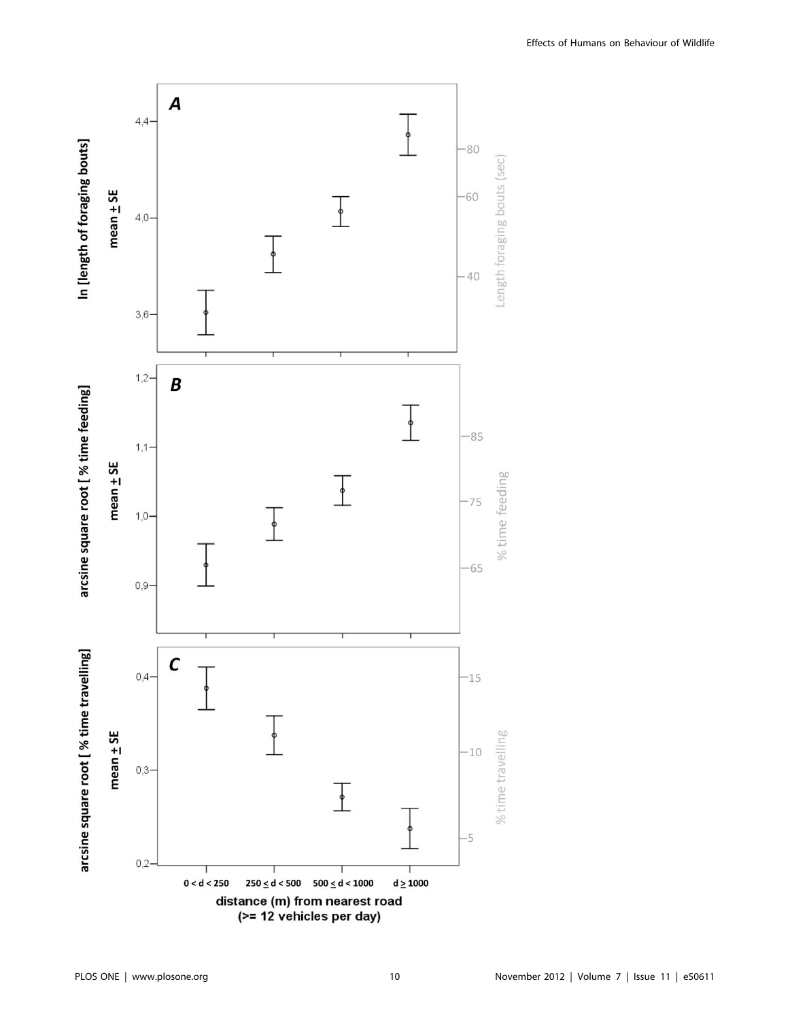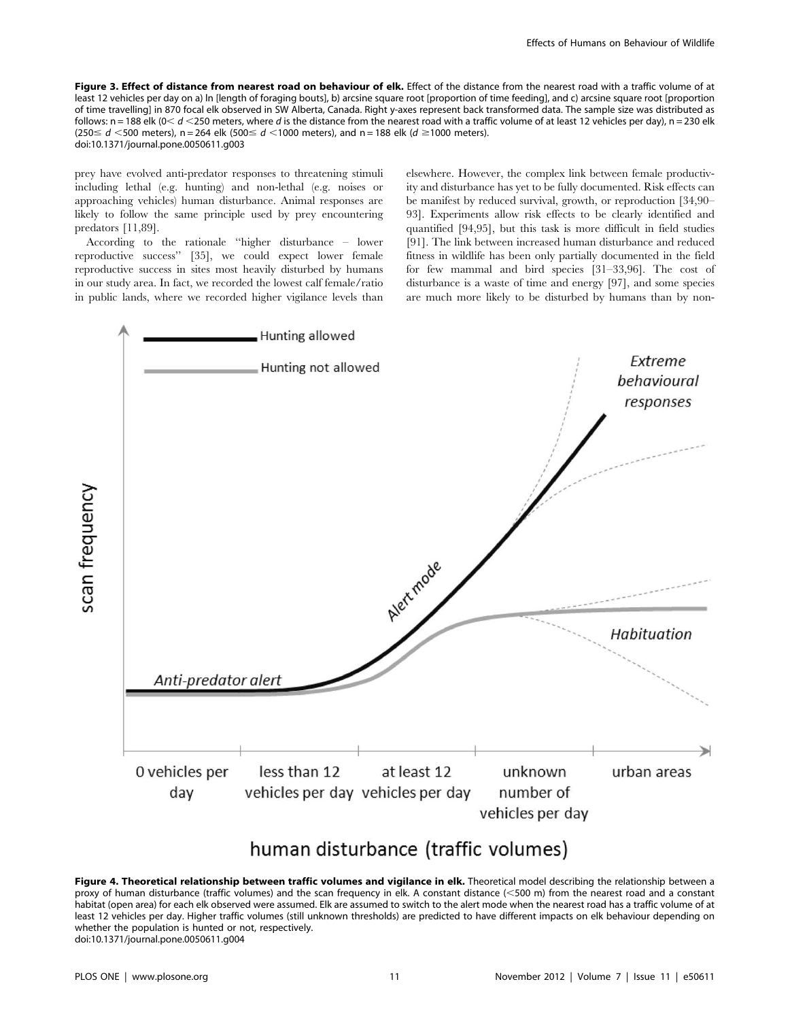Figure 3. Effect of distance from nearest road on behaviour of elk. Effect of the distance from the nearest road with a traffic volume of at least 12 vehicles per day on a) ln [length of foraging bouts], b) arcsine square root [proportion of time feeding], and c) arcsine square root [proportion of time travelling] in 870 focal elk observed in SW Alberta, Canada. Right y-axes represent back transformed data. The sample size was distributed as follows:  $n = 188$  elk ( $0 < d < 250$  meters, where d is the distance from the nearest road with a traffic volume of at least 12 vehicles per day),  $n = 230$  elk  $(250 \le d \le 500$  meters), n = 264 elk  $(500 \le d \le 1000$  meters), and n = 188 elk  $(d \ge 1000$  meters). doi:10.1371/journal.pone.0050611.g003

prey have evolved anti-predator responses to threatening stimuli including lethal (e.g. hunting) and non-lethal (e.g. noises or approaching vehicles) human disturbance. Animal responses are likely to follow the same principle used by prey encountering predators [11,89].

According to the rationale ''higher disturbance – lower reproductive success'' [35], we could expect lower female reproductive success in sites most heavily disturbed by humans in our study area. In fact, we recorded the lowest calf female/ratio in public lands, where we recorded higher vigilance levels than elsewhere. However, the complex link between female productivity and disturbance has yet to be fully documented. Risk effects can be manifest by reduced survival, growth, or reproduction [34,90– 93]. Experiments allow risk effects to be clearly identified and quantified [94,95], but this task is more difficult in field studies [91]. The link between increased human disturbance and reduced fitness in wildlife has been only partially documented in the field for few mammal and bird species [31–33,96]. The cost of disturbance is a waste of time and energy [97], and some species are much more likely to be disturbed by humans than by non-



# human disturbance (traffic volumes)

Figure 4. Theoretical relationship between traffic volumes and vigilance in elk. Theoretical model describing the relationship between a proxy of human disturbance (traffic volumes) and the scan frequency in elk. A constant distance (<500 m) from the nearest road and a constant habitat (open area) for each elk observed were assumed. Elk are assumed to switch to the alert mode when the nearest road has a traffic volume of at least 12 vehicles per day. Higher traffic volumes (still unknown thresholds) are predicted to have different impacts on elk behaviour depending on whether the population is hunted or not, respectively. doi:10.1371/journal.pone.0050611.g004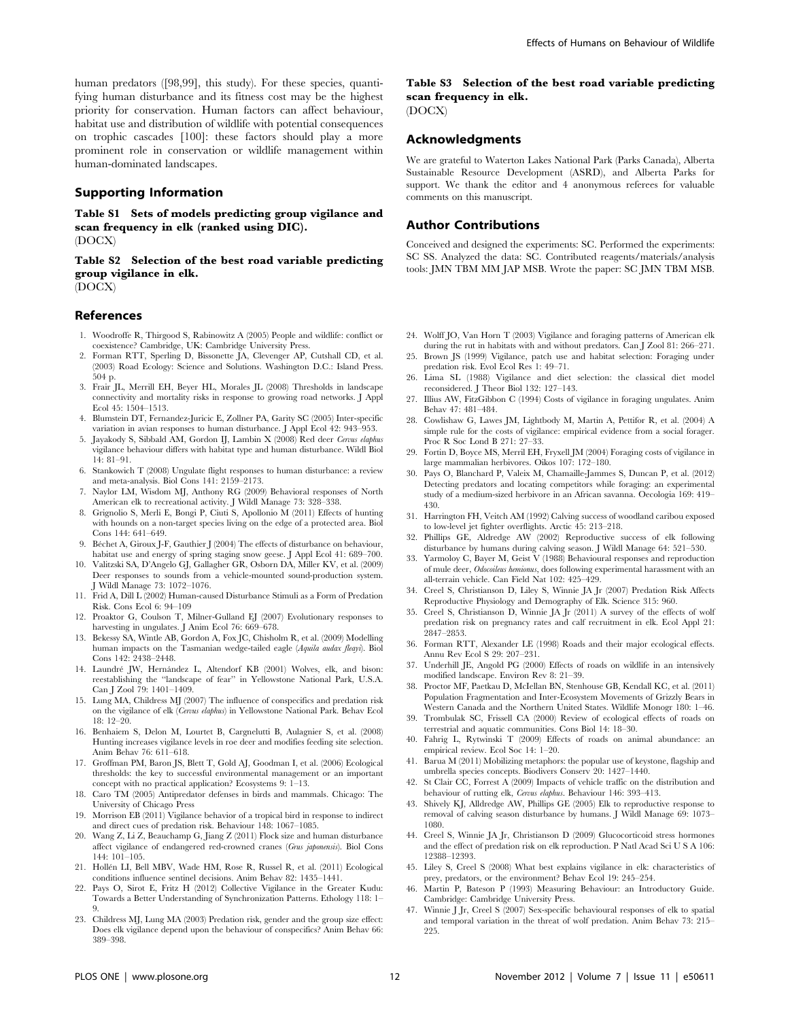human predators ([98,99], this study). For these species, quantifying human disturbance and its fitness cost may be the highest priority for conservation. Human factors can affect behaviour, habitat use and distribution of wildlife with potential consequences on trophic cascades [100]: these factors should play a more prominent role in conservation or wildlife management within human-dominated landscapes.

#### Supporting Information

Table S1 Sets of models predicting group vigilance and scan frequency in elk (ranked using DIC). (DOCX)

Table S2 Selection of the best road variable predicting group vigilance in elk. (DOCX)

#### References

- 1. Woodroffe R, Thirgood S, Rabinowitz A (2005) People and wildlife: conflict or coexistence? Cambridge, UK: Cambridge University Press.
- 2. Forman RTT, Sperling D, Bissonette JA, Clevenger AP, Cutshall CD, et al. (2003) Road Ecology: Science and Solutions. Washington D.C.: Island Press. 504 p.
- 3. Frair JL, Merrill EH, Beyer HL, Morales JL (2008) Thresholds in landscape connectivity and mortality risks in response to growing road networks. J Appl Ecol 45: 1504–1513.
- 4. Blumstein DT, Fernandez-Juricic E, Zollner PA, Garity SC (2005) Inter-specific variation in avian responses to human disturbance. J Appl Ecol 42: 943–953.
- 5. Javakody S, Sibbald AM, Gordon II, Lambin X (2008) Red deer Cervus elaphus vigilance behaviour differs with habitat type and human disturbance. Wildl Biol 14: 81–91.
- 6. Stankowich T (2008) Ungulate flight responses to human disturbance: a review and meta-analysis. Biol Cons 141: 2159–2173.
- 7. Naylor LM, Wisdom MJ, Anthony RG (2009) Behavioral responses of North American elk to recreational activity. J Wildl Manage 73: 328–338.
- 8. Grignolio S, Merli E, Bongi P, Ciuti S, Apollonio M (2011) Effects of hunting with hounds on a non-target species living on the edge of a protected area. Biol Cons 144: 641–649.
- 9. Béchet A, Giroux J-F, Gauthier J (2004) The effects of disturbance on behaviour, habitat use and energy of spring staging snow geese. J Appl Ecol 41: 689–700.
- 10. Valitzski SA, D'Angelo GJ, Gallagher GR, Osborn DA, Miller KV, et al. (2009) Deer responses to sounds from a vehicle-mounted sound-production system. J Wildl Manage 73: 1072–1076.
- 11. Frid A, Dill L (2002) Human-caused Disturbance Stimuli as a Form of Predation Risk. Cons Ecol 6: 94–109
- 12. Proaktor G, Coulson T, Milner-Gulland EJ (2007) Evolutionary responses to harvesting in ungulates. J Anim Ecol 76: 669–678.
- 13. Bekessy SA, Wintle AB, Gordon A, Fox JC, Chisholm R, et al. (2009) Modelling human impacts on the Tasmanian wedge-tailed eagle (Aquila audax fleayi). Biol Cons 142: 2438–2448.
- 14. Laundré JW, Hernández L, Altendorf KB (2001) Wolves, elk, and bison: reestablishing the ''landscape of fear'' in Yellowstone National Park, U.S.A. Can J Zool 79: 1401–1409.
- 15. Lung MA, Childress MJ (2007) The influence of conspecifics and predation risk on the vigilance of elk (Cervus elaphus) in Yellowstone National Park. Behav Ecol 18: 12–20.
- 16. Benhaiem S, Delon M, Lourtet B, Cargnelutti B, Aulagnier S, et al. (2008) Hunting increases vigilance levels in roe deer and modifies feeding site selection. Anim Behav 76: 611–618.
- 17. Groffman PM, Baron JS, Blett T, Gold AJ, Goodman I, et al. (2006) Ecological thresholds: the key to successful environmental management or an important concept with no practical application? Ecosystems 9: 1–13.
- 18. Caro TM (2005) Antipredator defenses in birds and mammals. Chicago: The University of Chicago Press
- 19. Morrison EB (2011) Vigilance behavior of a tropical bird in response to indirect and direct cues of predation risk. Behaviour 148: 1067–1085.
- 20. Wang Z, Li Z, Beauchamp G, Jiang Z (2011) Flock size and human disturbance affect vigilance of endangered red-crowned cranes (Grus japonensis). Biol Cons 144: 101–105.
- 21. Hollén LI, Bell MBV, Wade HM, Rose R, Russel R, et al. (2011) Ecological conditions influence sentinel decisions. Anim Behav 82: 1435–1441.
- 22. Pays O, Sirot E, Fritz H (2012) Collective Vigilance in the Greater Kudu: Towards a Better Understanding of Synchronization Patterns. Ethology 118: 1– 9.
- 23. Childress MJ, Lung MA (2003) Predation risk, gender and the group size effect: Does elk vigilance depend upon the behaviour of conspecifics? Anim Behav 66: 389–398.

# Table S3 Selection of the best road variable predicting scan frequency in elk.

(DOCX)

## Acknowledgments

We are grateful to Waterton Lakes National Park (Parks Canada), Alberta Sustainable Resource Development (ASRD), and Alberta Parks for support. We thank the editor and 4 anonymous referees for valuable comments on this manuscript.

#### Author Contributions

Conceived and designed the experiments: SC. Performed the experiments: SC SS. Analyzed the data: SC. Contributed reagents/materials/analysis tools: JMN TBM MM JAP MSB. Wrote the paper: SC JMN TBM MSB.

- 24. Wolff JO, Van Horn T (2003) Vigilance and foraging patterns of American elk during the rut in habitats with and without predators. Can J Zool 81: 266–271.
- 25. Brown JS (1999) Vigilance, patch use and habitat selection: Foraging under predation risk. Evol Ecol Res 1: 49–71.
- 26. Lima SL (1988) Vigilance and diet selection: the classical diet model reconsidered. J Theor Biol 132: 127–143.
- 27. Illius AW, FitzGibbon C (1994) Costs of vigilance in foraging ungulates. Anim Behav 47: 481–484.
- 28. Cowlishaw G, Lawes JM, Lightbody M, Martin A, Pettifor R, et al. (2004) A simple rule for the costs of vigilance: empirical evidence from a social forager. Proc R Soc Lond B 271: 27–33.
- 29. Fortin D, Boyce MS, Merril EH, Fryxell JM (2004) Foraging costs of vigilance in large mammalian herbivores. Oikos 107: 172–180.
- 30. Pays O, Blanchard P, Valeix M, Chamaille-Jammes S, Duncan P, et al. (2012) Detecting predators and locating competitors while foraging: an experimental study of a medium-sized herbivore in an African savanna. Oecologia 169: 419– 430.
- 31. Harrington FH, Veitch AM (1992) Calving success of woodland caribou exposed to low-level jet fighter overflights. Arctic 45: 213–218.
- 32. Phillips GE, Aldredge AW (2002) Reproductive success of elk following disturbance by humans during calving season. J Wildl Manage 64: 521–530.
- 33. Yarmoloy C, Bayer M, Geist V (1988) Behavioural responses and reproduction of mule deer, Odocoileus hemionus, does following experimental harassment with an all-terrain vehicle. Can Field Nat 102: 425–429.
- 34. Creel S, Christianson D, Liley S, Winnie JA Jr (2007) Predation Risk Affects Reproductive Physiology and Demography of Elk. Science 315: 960.
- 35. Creel S, Christianson D, Winnie JA Jr (2011) A survey of the effects of wolf predation risk on pregnancy rates and calf recruitment in elk. Ecol Appl 21: 2847–2853.
- 36. Forman RTT, Alexander LE (1998) Roads and their major ecological effects. Annu Rev Ecol S 29: 207–231.
- 37. Underhill JE, Angold PG (2000) Effects of roads on wildlife in an intensively modified landscape. Environ Rev 8: 21–39.
- 38. Proctor MF, Paetkau D, McIellan BN, Stenhouse GB, Kendall KC, et al. (2011) Population Fragmentation and Inter-Ecosystem Movements of Grizzly Bears in Western Canada and the Northern United States. Wildlife Monogr 180: 1–46.
- 39. Trombulak SC, Frissell CA (2000) Review of ecological effects of roads on terrestrial and aquatic communities. Cons Biol 14: 18–30.
- 40. Fahrig L, Rytwinski T (2009) Effects of roads on animal abundance: an empirical review. Ecol Soc 14: 1–20.
- 41. Barua M (2011) Mobilizing metaphors: the popular use of keystone, flagship and umbrella species concepts. Biodivers Conserv 20: 1427–1440.
- 42. St Clair CC, Forrest A (2009) Impacts of vehicle traffic on the distribution and behaviour of rutting elk, Cervus elaphus. Behaviour 146: 393–413.
- 43. Shively KJ, Alldredge AW, Phillips GE (2005) Elk to reproductive response to removal of calving season disturbance by humans. J Wildl Manage 69: 1073– 1080.
- 44. Creel S, Winnie JA Jr, Christianson D (2009) Glucocorticoid stress hormones and the effect of predation risk on elk reproduction. P Natl Acad Sci U S A 106: 12388–12393.
- 45. Liley S, Creel S (2008) What best explains vigilance in elk: characteristics of prey, predators, or the environment? Behav Ecol 19: 245–254.
- 46. Martin P, Bateson P (1993) Measuring Behaviour: an Introductory Guide. Cambridge: Cambridge University Press.
- 47. Winnie J Jr, Creel S (2007) Sex-specific behavioural responses of elk to spatial and temporal variation in the threat of wolf predation. Anim Behav 73: 215– 225.